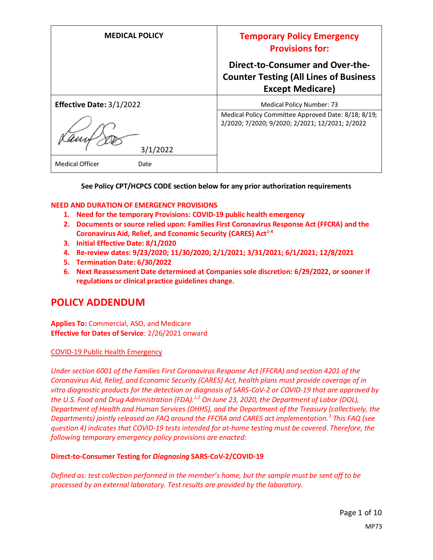| <b>MEDICAL POLICY</b>          | <b>Temporary Policy Emergency</b><br><b>Provisions for:</b>                                                         |
|--------------------------------|---------------------------------------------------------------------------------------------------------------------|
|                                | <b>Direct-to-Consumer and Over-the-</b><br><b>Counter Testing (All Lines of Business</b><br><b>Except Medicare)</b> |
| Effective Date: 3/1/2022       | Medical Policy Number: 73                                                                                           |
| 3/1/2022                       | Medical Policy Committee Approved Date: 8/18; 8/19;<br>2/2020; 7/2020; 9/2020; 2/2021; 12/2021; 2/2022              |
| <b>Medical Officer</b><br>Date |                                                                                                                     |

#### **See Policy CPT/HCPCS CODE section below for any prior authorization requirements**

#### **NEED AND DURATION OF EMERGENCY PROVISIONS**

- **1. Need for the temporary Provisions: COVID-19 public health emergency**
- **2. Documents or source relied upon: Families First Coronavirus Response Act (FFCRA) and the Coronavirus Aid, Relief, and Economic Security (CARES) Act1-4**
- **3. Initial Effective Date: 8/1/2020**
- **4. Re-review dates: 9/23/2020; 11/30/2020; 2/1/2021; 3/31/2021; 6/1/2021; 12/8/2021**
- **5. Termination Date: 6/30/2022**
- **6. Next Reassessment Date determined at Companies sole discretion: 6/29/2022, or sooner if regulations or clinical practice guidelines change.**

### **POLICY ADDENDUM**

**Applies To:** Commercial, ASO, and Medicare **Effective for Dates of Service**: 2/26/2021 onward

#### COVID-19 Public Health Emergency

*Under section 6001 of the Families First Coronavirus Response Act (FFCRA) and section 4201 of the Coronavirus Aid, Relief, and Economic Security (CARES) Act, health plans must provide coverage of in vitro diagnostic products for the detection or diagnosis of SARS-CoV-2 or COVID-19 that are approved by the U.S. Food and Drug Administration (FDA).1,2 On June 23, 2020, the Department of Labor (DOL), Department of Health and Human Services (DHHS), and the Department of the Treasury (collectively, the Departments) jointly released an FAQ around the FFCRA and CARES act implementation.<sup>3</sup> This FAQ (see question 4) indicates that COVID-19 tests intended for at-home testing must be covered. Therefore, the following temporary emergency policy provisions are enacted:*

#### **Direct-to-Consumer Testing for** *Diagnosing* **SARS-CoV-2/COVID-19**

*Defined as: test collection performed in the member's home, but the sample must be sent off to be processed by an external laboratory. Test results are provided by the laboratory.*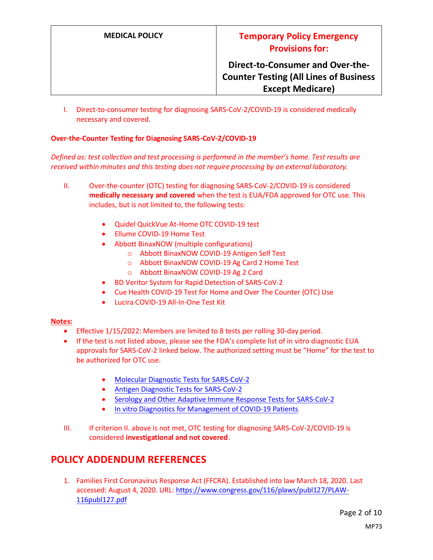I. Direct-to-consumer testing for diagnosing SARS-CoV-2/COVID-19 is considered medically necessary and covered.

#### **Over-the-Counter Testing for Diagnosing SARS-CoV-2/COVID-19**

*Defined as: test collection and test processing is performed in the member's home. Test results are received within minutes and this testing does not require processing by an external laboratory.*

- II. Over-the-counter (OTC) testing for diagnosing SARS-CoV-2/COVID-19 is considered **medically necessary and covered** when the test is EUA/FDA approved for OTC use. This includes, but is not limited to, the following tests:
	- Quidel QuickVue At-Home OTC COVID-19 test
	- Ellume COVID-19 Home Test
	- Abbott BinaxNOW (multiple configurations)
		- o Abbott BinaxNOW COVID-19 Antigen Self Test
		- o Abbott BinaxNOW COVID-19 Ag Card 2 Home Test
		- o Abbott BinaxNOW COVID-19 Ag 2 Card
	- BD Veritor System for Rapid Detection of SARS-CoV-2
	- Cue Health COVID-19 Test for Home and Over The Counter (OTC) Use
	- Lucira COVID-19 All-In-One Test Kit

#### **Notes:**

- Effective 1/15/2022: Members are limited to 8 tests per rolling 30-day period.
- If the test is not listed above, please see the FDA's complete list of in vitro diagnostic EUA approvals for SARS-CoV-2 linked below. The authorized setting must be "Home" for the test to be authorized for OTC use.
	- [Molecular Diagnostic Tests for SARS-CoV-2](https://www.fda.gov/medical-devices/coronavirus-disease-2019-covid-19-emergency-use-authorizations-medical-devices/in-vitro-diagnostics-euas-molecular-diagnostic-tests-sars-cov-2)
	- [Antigen Diagnostic Tests for SARS-CoV-2](https://www.fda.gov/medical-devices/coronavirus-disease-2019-covid-19-emergency-use-authorizations-medical-devices/in-vitro-diagnostics-euas-antigen-diagnostic-tests-sars-cov-2)
	- [Serology and Other Adaptive Immune Response Tests for SARS-CoV-2](https://www.fda.gov/medical-devices/coronavirus-disease-2019-covid-19-emergency-use-authorizations-medical-devices/in-vitro-diagnostics-euas-serology-and-other-adaptive-immune-response-tests-sars-cov-2)
	- [In vitro Diagnostics for Management of COVID-19 Patients](https://www.fda.gov/medical-devices/coronavirus-disease-2019-covid-19-emergency-use-authorizations-medical-devices/in-vitro-diagnostics-euas-ivds-management-covid-19-patients)
- III. If criterion II. above is not met, OTC testing for diagnosing SARS-CoV-2/COVID-19 is considered **investigational and not covered**.

### **POLICY ADDENDUM REFERENCES**

1. Families First Coronavirus Response Act (FFCRA). Established into law March 18, 2020. Last accessed: August 4, 2020. URL[: https://www.congress.gov/116/plaws/publ127/PLAW-](https://www.congress.gov/116/plaws/publ127/PLAW-116publ127.pdf)[116publ127.pdf](https://www.congress.gov/116/plaws/publ127/PLAW-116publ127.pdf)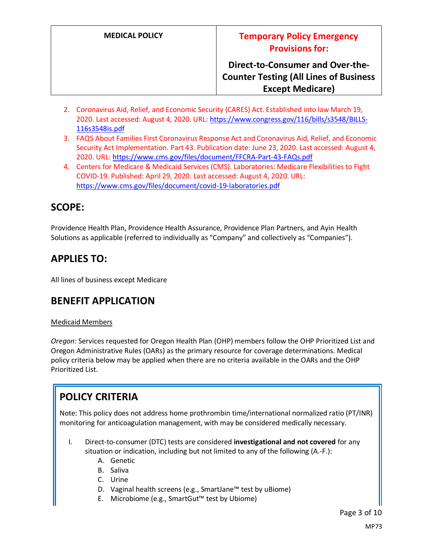- 2. Coronavirus Aid, Relief, and Economic Security (CARES) Act. Established into law March 19, 2020. Last accessed: August 4, 2020. URL[: https://www.congress.gov/116/bills/s3548/BILLS-](https://www.congress.gov/116/bills/s3548/BILLS-116s3548is.pdf)[116s3548is.pdf](https://www.congress.gov/116/bills/s3548/BILLS-116s3548is.pdf)
- 3. FAQS About Families First Coronavirus Response Act and Coronavirus Aid, Relief, and Economic Security Act Implementation. Part 43. Publication date: June 23, 2020. Last accessed: August 4, 2020. URL[: https://www.cms.gov/files/document/FFCRA-Part-43-FAQs.pdf](https://www.cms.gov/files/document/FFCRA-Part-43-FAQs.pdf)
- 4. Centers for Medicare & Medicaid Services (CMS). Laboratories: Medicare Flexibilities to Fight COVID-19. Published: April 29, 2020. Last accessed: August 4, 2020. URL: <https://www.cms.gov/files/document/covid-19-laboratories.pdf>

# **SCOPE:**

Providence Health Plan, Providence Health Assurance, Providence Plan Partners, and Ayin Health Solutions as applicable (referred to individually as "Company" and collectively as "Companies").

# **APPLIES TO:**

All lines of business except Medicare

# **BENEFIT APPLICATION**

#### Medicaid Members

*Oregon*: Services requested for Oregon Health Plan (OHP) members follow the OHP Prioritized List and Oregon Administrative Rules (OARs) as the primary resource for coverage determinations. Medical policy criteria below may be applied when there are no criteria available in the OARs and the OHP Prioritized List.

# **POLICY CRITERIA**

Note: This policy does not address home prothrombin time/international normalized ratio (PT/INR) monitoring for anticoagulation management, with may be considered medically necessary.

- I. Direct-to-consumer (DTC) tests are considered **investigational and not covered** for any situation or indication, including but not limited to any of the following (A.-F.):
	- A. Genetic
	- B. Saliva
	- C. Urine
	- D. Vaginal health screens (e.g., SmartJane™ test by uBiome)
	- E. Microbiome (e.g., SmartGut™ test by Ubiome)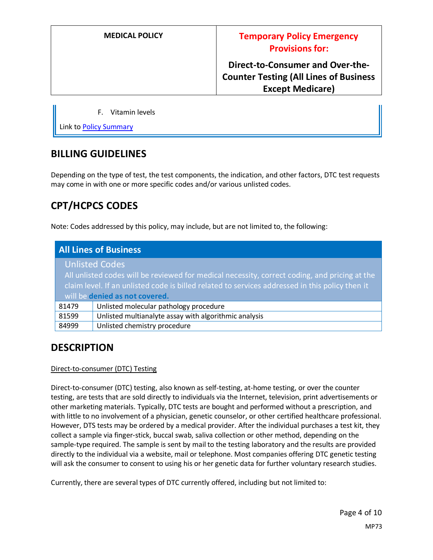#### F. Vitamin levels

Link t[o Policy Summary](#page-7-0)

### **BILLING GUIDELINES**

Depending on the type of test, the test components, the indication, and other factors, DTC test requests may come in with one or more specific codes and/or various unlisted codes.

# **CPT/HCPCS CODES**

Note: Codes addressed by this policy, may include, but are not limited to, the following:

| <b>All Lines of Business</b>                                                                                                                                                                                                       |                                                       |
|------------------------------------------------------------------------------------------------------------------------------------------------------------------------------------------------------------------------------------|-------------------------------------------------------|
|                                                                                                                                                                                                                                    | <b>Unlisted Codes</b>                                 |
| All unlisted codes will be reviewed for medical necessity, correct coding, and pricing at the<br>claim level. If an unlisted code is billed related to services addressed in this policy then it<br>will be denied as not covered. |                                                       |
| 81479                                                                                                                                                                                                                              | Unlisted molecular pathology procedure                |
| 81599                                                                                                                                                                                                                              | Unlisted multianalyte assay with algorithmic analysis |
| 84999                                                                                                                                                                                                                              | Unlisted chemistry procedure                          |

# **DESCRIPTION**

#### Direct-to-consumer (DTC) Testing

Direct-to-consumer (DTC) testing, also known as self-testing, at-home testing, or over the counter testing, are tests that are sold directly to individuals via the Internet, television, print advertisements or other marketing materials. Typically, DTC tests are bought and performed without a prescription, and with little to no involvement of a physician, genetic counselor, or other certified healthcare professional. However, DTS tests may be ordered by a medical provider. After the individual purchases a test kit, they collect a sample via finger-stick, buccal swab, saliva collection or other method, depending on the sample-type required. The sample is sent by mail to the testing laboratory and the results are provided directly to the individual via a website, mail or telephone. Most companies offering DTC genetic testing will ask the consumer to consent to using his or her genetic data for further voluntary research studies.

Currently, there are several types of DTC currently offered, including but not limited to: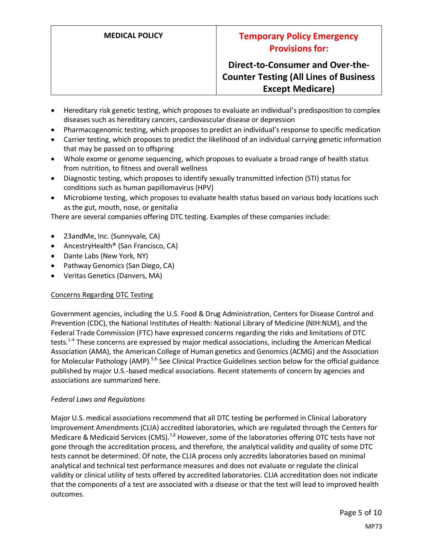- Hereditary risk genetic testing, which proposes to evaluate an individual's predisposition to complex diseases such as hereditary cancers, cardiovascular disease or depression
- Pharmacogenomic testing, which proposes to predict an individual's response to specific medication
- Carrier testing, which proposes to predict the likelihood of an individual carrying genetic information that may be passed on to offspring
- Whole exome or genome sequencing, which proposes to evaluate a broad range of health status from nutrition, to fitness and overall wellness
- Diagnostic testing, which proposes to identify sexually transmitted infection (STI) status for conditions such as human papillomavirus (HPV)
- Microbiome testing, which proposes to evaluate health status based on various body locations such as the gut, mouth, nose, or genitalia

There are several companies offering DTC testing. Examples of these companies include:

- 23andMe, Inc. (Sunnyvale, CA)
- AncestryHealth® (San Francisco, CA)
- Dante Labs (New York, NY)
- Pathway Genomics (San Diego, CA)
- Veritas Genetics (Danvers, MA)

#### Concerns Regarding DTC Testing

Government agencies, including the U.S. Food & Drug Administration, Centers for Disease Control and Prevention (CDC), the National Institutes of Health: National Library of Medicine (NIH:NLM), and the Federal Trade Commission (FTC) have expressed concerns regarding the risks and limitations of DTC tests.<sup>1-4</sup> These concerns are expressed by major medical associations, including the American Medical Association (AMA), the American College of Human genetics and Genomics (ACMG) and the Association for Molecular Pathology (AMP).<sup>5,6</sup> See Clinical Practice Guidelines section below for the official guidance published by major U.S.-based medical associations. Recent statements of concern by agencies and associations are summarized here.

#### *Federal Laws and Regulations*

Major U.S. medical associations recommend that all DTC testing be performed in Clinical Laboratory Improvement Amendments (CLIA) accredited laboratories, which are regulated through the Centers for Medicare & Medicaid Services (CMS).<sup>7,8</sup> However, some of the laboratories offering DTC tests have not gone through the accreditation process, and therefore, the analytical validity and quality of some DTC tests cannot be determined. Of note, the CLIA process only accredits laboratories based on minimal analytical and technical test performance measures and does not evaluate or regulate the clinical validity or clinical utility of tests offered by accredited laboratories. CLIA accreditation does not indicate that the components of a test are associated with a disease or that the test will lead to improved health outcomes.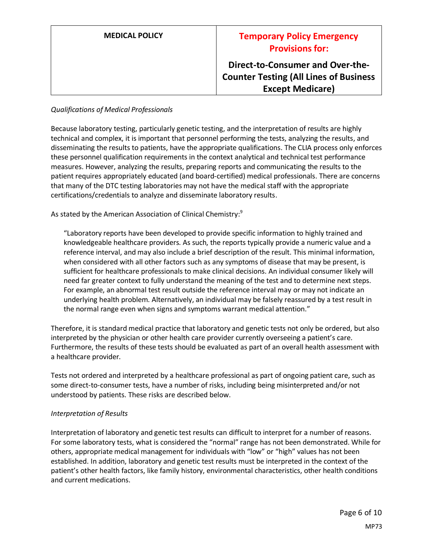| <b>MEDICAL POLICY</b> | <b>Temporary Policy Emergency</b><br><b>Provisions for:</b>                                                  |
|-----------------------|--------------------------------------------------------------------------------------------------------------|
|                       | Direct-to-Consumer and Over-the-<br><b>Counter Testing (All Lines of Business</b><br><b>Except Medicare)</b> |

#### *Qualifications of Medical Professionals*

Because laboratory testing, particularly genetic testing, and the interpretation of results are highly technical and complex, it is important that personnel performing the tests, analyzing the results, and disseminating the results to patients, have the appropriate qualifications. The CLIA process only enforces these personnel qualification requirements in the context analytical and technical test performance measures. However, analyzing the results, preparing reports and communicating the results to the patient requires appropriately educated (and board-certified) medical professionals. There are concerns that many of the DTC testing laboratories may not have the medical staff with the appropriate certifications/credentials to analyze and disseminate laboratory results.

As stated by the American Association of Clinical Chemistry:<sup>9</sup>

"Laboratory reports have been developed to provide specific information to highly trained and knowledgeable healthcare providers. As such, the reports typically provide a numeric value and a reference interval, and may also include a brief description of the result. This minimal information, when considered with all other factors such as any symptoms of disease that may be present, is sufficient for healthcare professionals to make clinical decisions. An individual consumer likely will need far greater context to fully understand the meaning of the test and to determine next steps. For example, an abnormal test result outside the reference interval may or may not indicate an underlying health problem. Alternatively, an individual may be falsely reassured by a test result in the normal range even when signs and symptoms warrant medical attention."

Therefore, it is standard medical practice that laboratory and genetic tests not only be ordered, but also interpreted by the physician or other health care provider currently overseeing a patient's care. Furthermore, the results of these tests should be evaluated as part of an overall health assessment with a healthcare provider.

Tests not ordered and interpreted by a healthcare professional as part of ongoing patient care, such as some direct-to-consumer tests, have a number of risks, including being misinterpreted and/or not understood by patients. These risks are described below.

#### *Interpretation of Results*

Interpretation of laboratory and genetic test results can difficult to interpret for a number of reasons. For some laboratory tests, what is considered the "normal" range has not been demonstrated. While for others, appropriate medical management for individuals with "low" or "high" values has not been established. In addition, laboratory and genetic test results must be interpreted in the context of the patient's other health factors, like family history, environmental characteristics, other health conditions and current medications.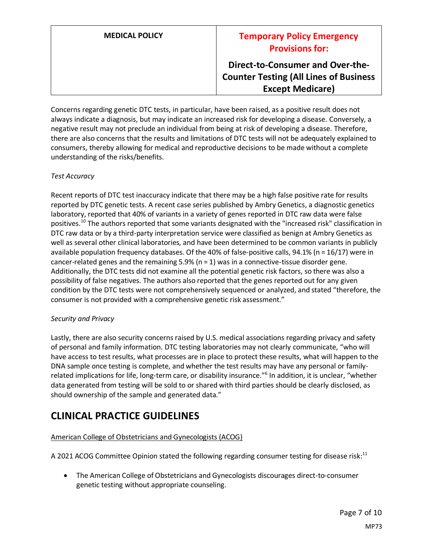### **MEDICAL POLICY Temporary Policy Emergency Provisions for:**

**Direct-to-Consumer and Over-the-Counter Testing (All Lines of Business Except Medicare)**

Concerns regarding genetic DTC tests, in particular, have been raised, as a positive result does not always indicate a diagnosis, but may indicate an increased risk for developing a disease. Conversely, a negative result may not preclude an individual from being at risk of developing a disease. Therefore, there are also concerns that the results and limitations of DTC tests will not be adequately explained to consumers, thereby allowing for medical and reproductive decisions to be made without a complete understanding of the risks/benefits.

#### *Test Accuracy*

Recent reports of DTC test inaccuracy indicate that there may be a high false positive rate for results reported by DTC genetic tests. A recent case series published by Ambry Genetics, a diagnostic genetics laboratory, reported that 40% of variants in a variety of genes reported in DTC raw data were false positives.<sup>10</sup> The authors reported that some variants designated with the "increased risk" classification in DTC raw data or by a third-party interpretation service were classified as benign at Ambry Genetics as well as several other clinical laboratories, and have been determined to be common variants in publicly available population frequency databases. Of the 40% of false-positive calls, 94.1% (n = 16/17) were in cancer-related genes and the remaining  $5.9%$  (n = 1) was in a connective-tissue disorder gene. Additionally, the DTC tests did not examine all the potential genetic risk factors, so there was also a possibility of false negatives. The authors also reported that the genes reported out for any given condition by the DTC tests were not comprehensively sequenced or analyzed, and stated "therefore, the consumer is not provided with a comprehensive genetic risk assessment."

#### *Security and Privacy*

Lastly, there are also security concerns raised by U.S. medical associations regarding privacy and safety of personal and family information. DTC testing laboratories may not clearly communicate, "who will have access to test results, what processes are in place to protect these results, what will happen to the DNA sample once testing is complete, and whether the test results may have any personal or familyrelated implications for life, long-term care, or disability insurance."<sup>6</sup> In addition, it is unclear, "whether data generated from testing will be sold to or shared with third parties should be clearly disclosed, as should ownership of the sample and generated data."

### **CLINICAL PRACTICE GUIDELINES**

#### American College of Obstetricians and Gynecologists (ACOG)

A 2021 ACOG Committee Opinion stated the following regarding consumer testing for disease risk:<sup>11</sup>

• The American College of Obstetricians and Gynecologists discourages direct-to-consumer genetic testing without appropriate counseling.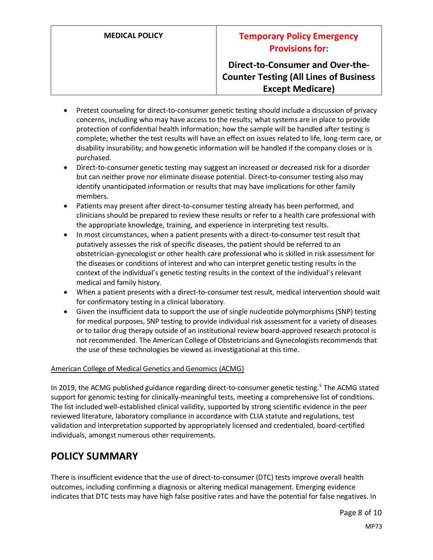### **MEDICAL POLICY Temporary Policy Emergency Provisions for:**

### **Direct-to-Consumer and Over-the-Counter Testing (All Lines of Business Except Medicare)**

- Pretest counseling for direct-to-consumer genetic testing should include a discussion of privacy concerns, including who may have access to the results; what systems are in place to provide protection of confidential health information; how the sample will be handled after testing is complete; whether the test results will have an effect on issues related to life, long-term care, or disability insurability; and how genetic information will be handled if the company closes or is purchased.
- Direct-to-consumer genetic testing may suggest an increased or decreased risk for a disorder but can neither prove nor eliminate disease potential. Direct-to-consumer testing also may identify unanticipated information or results that may have implications for other family members.
- Patients may present after direct-to-consumer testing already has been performed, and clinicians should be prepared to review these results or refer to a health care professional with the appropriate knowledge, training, and experience in interpreting test results.
- In most circumstances, when a patient presents with a direct-to-consumer test result that putatively assesses the risk of specific diseases, the patient should be referred to an obstetrician-gynecologist or other health care professional who is skilled in risk assessment for the diseases or conditions of interest and who can interpret genetic testing results in the context of the individual's genetic testing results in the context of the individual's relevant medical and family history.
- When a patient presents with a direct-to-consumer test result, medical intervention should wait for confirmatory testing in a clinical laboratory.
- Given the insufficient data to support the use of single nucleotide polymorphisms (SNP) testing for medical purposes, SNP testing to provide individual risk assessment for a variety of diseases or to tailor drug therapy outside of an institutional review board-approved research protocol is not recommended. The American College of Obstetricians and Gynecologists recommends that the use of these technologies be viewed as investigational at this time.

#### American College of Medical Genetics and Genomics (ACMG)

In 2019, the ACMG published guidance regarding direct-to-consumer genetic testing.<sup>5</sup> The ACMG stated support for genomic testing for clinically-meaningful tests, meeting a comprehensive list of conditions. The list included well-established clinical validity, supported by strong scientific evidence in the peer reviewed literature, laboratory compliance in accordance with CLIA statute and regulations, test validation and interpretation supported by appropriately licensed and credentialed, board-certified individuals, amongst numerous other requirements.

### <span id="page-7-0"></span>**POLICY SUMMARY**

There is insufficient evidence that the use of direct-to-consumer (DTC) tests improve overall health outcomes, including confirming a diagnosis or altering medical management. Emerging evidence indicates that DTC tests may have high false positive rates and have the potential for false negatives. In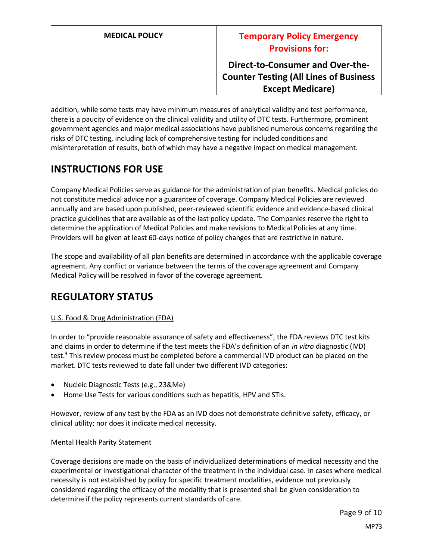addition, while some tests may have minimum measures of analytical validity and test performance, there is a paucity of evidence on the clinical validity and utility of DTC tests. Furthermore, prominent government agencies and major medical associations have published numerous concerns regarding the risks of DTC testing, including lack of comprehensive testing for included conditions and misinterpretation of results, both of which may have a negative impact on medical management.

# **INSTRUCTIONS FOR USE**

Company Medical Policies serve as guidance for the administration of plan benefits. Medical policies do not constitute medical advice nor a guarantee of coverage. Company Medical Policies are reviewed annually and are based upon published, peer-reviewed scientific evidence and evidence-based clinical practice guidelines that are available as of the last policy update. The Companies reserve the right to determine the application of Medical Policies and make revisions to Medical Policies at any time. Providers will be given at least 60-days notice of policy changes that are restrictive in nature.

The scope and availability of all plan benefits are determined in accordance with the applicable coverage agreement. Any conflict or variance between the terms of the coverage agreement and Company Medical Policy will be resolved in favor of the coverage agreement.

# **REGULATORY STATUS**

#### U.S. Food & Drug Administration (FDA)

In order to "provide reasonable assurance of safety and effectiveness", the FDA reviews DTC test kits and claims in order to determine if the test meets the FDA's definition of an *in vitro* diagnostic (IVD) test.<sup>4</sup> This review process must be completed before a commercial IVD product can be placed on the market. DTC tests reviewed to date fall under two different IVD categories:

- Nucleic Diagnostic Tests (e.g., 23&Me)
- Home Use Tests for various conditions such as hepatitis, HPV and STIs.

However, review of any test by the FDA as an IVD does not demonstrate definitive safety, efficacy, or clinical utility; nor does it indicate medical necessity.

#### Mental Health Parity Statement

Coverage decisions are made on the basis of individualized determinations of medical necessity and the experimental or investigational character of the treatment in the individual case. In cases where medical necessity is not established by policy for specific treatment modalities, evidence not previously considered regarding the efficacy of the modality that is presented shall be given consideration to determine if the policy represents current standards of care.